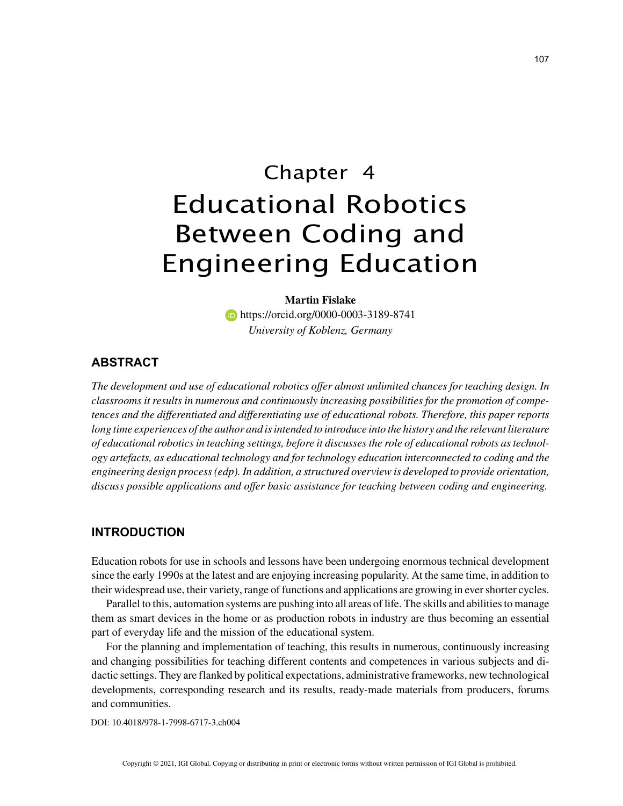# Chapter 4 Educational Robotics Between Coding and Engineering Education

# **Martin Fislake**

**https://orcid.org/0000-0003-3189-8741** *University of Koblenz, Germany*

# **ABSTRACT**

*The development and use of educational robotics offer almost unlimited chances for teaching design. In classrooms it results in numerous and continuously increasing possibilities for the promotion of competences and the differentiated and differentiating use of educational robots. Therefore, this paper reports*  long time experiences of the author and is intended to introduce into the history and the relevant literature *of educational robotics in teaching settings, before it discusses the role of educational robots as technology artefacts, as educational technology and for technology education interconnected to coding and the engineering design process (edp). In addition, a structured overview is developed to provide orientation, discuss possible applications and offer basic assistance for teaching between coding and engineering.*

# **INTRODUCTION**

Education robots for use in schools and lessons have been undergoing enormous technical development since the early 1990s at the latest and are enjoying increasing popularity. At the same time, in addition to their widespread use, their variety, range of functions and applications are growing in ever shorter cycles.

Parallel to this, automation systems are pushing into all areas of life. The skills and abilities to manage them as smart devices in the home or as production robots in industry are thus becoming an essential part of everyday life and the mission of the educational system.

For the planning and implementation of teaching, this results in numerous, continuously increasing and changing possibilities for teaching different contents and competences in various subjects and didactic settings. They are flanked by political expectations, administrative frameworks, new technological developments, corresponding research and its results, ready-made materials from producers, forums and communities.

DOI: 10.4018/978-1-7998-6717-3.ch004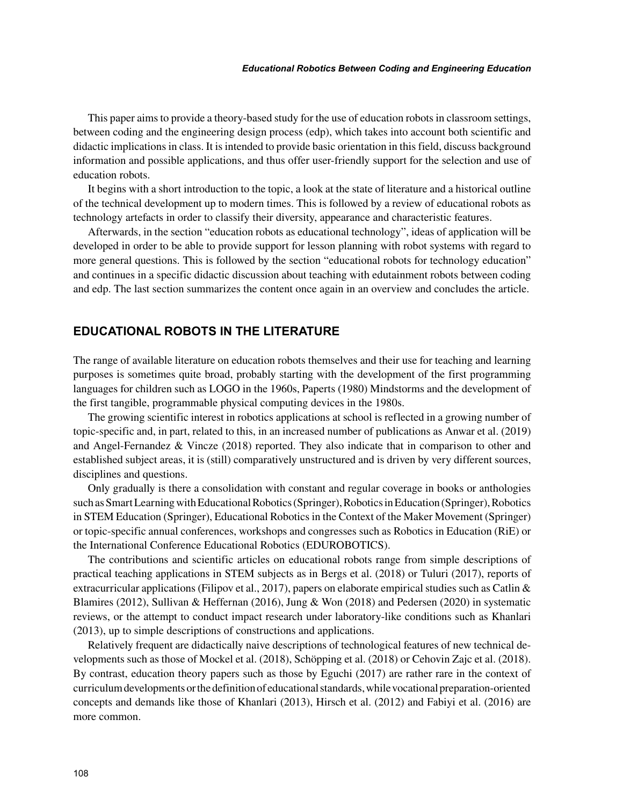This paper aims to provide a theory-based study for the use of education robots in classroom settings, between coding and the engineering design process (edp), which takes into account both scientific and didactic implications in class. It is intended to provide basic orientation in this field, discuss background information and possible applications, and thus offer user-friendly support for the selection and use of education robots.

It begins with a short introduction to the topic, a look at the state of literature and a historical outline of the technical development up to modern times. This is followed by a review of educational robots as technology artefacts in order to classify their diversity, appearance and characteristic features.

Afterwards, in the section "education robots as educational technology", ideas of application will be developed in order to be able to provide support for lesson planning with robot systems with regard to more general questions. This is followed by the section "educational robots for technology education" and continues in a specific didactic discussion about teaching with edutainment robots between coding and edp. The last section summarizes the content once again in an overview and concludes the article.

# **EDUCATIONAL ROBOTS IN THE LITERATURE**

The range of available literature on education robots themselves and their use for teaching and learning purposes is sometimes quite broad, probably starting with the development of the first programming languages for children such as LOGO in the 1960s, Paperts (1980) Mindstorms and the development of the first tangible, programmable physical computing devices in the 1980s.

The growing scientific interest in robotics applications at school is reflected in a growing number of topic-specific and, in part, related to this, in an increased number of publications as Anwar et al. (2019) and Angel-Fernandez & Vincze (2018) reported. They also indicate that in comparison to other and established subject areas, it is (still) comparatively unstructured and is driven by very different sources, disciplines and questions.

Only gradually is there a consolidation with constant and regular coverage in books or anthologies such as Smart Learning with Educational Robotics (Springer), Robotics in Education (Springer), Robotics in STEM Education (Springer), Educational Robotics in the Context of the Maker Movement (Springer) or topic-specific annual conferences, workshops and congresses such as Robotics in Education (RiE) or the International Conference Educational Robotics (EDUROBOTICS).

The contributions and scientific articles on educational robots range from simple descriptions of practical teaching applications in STEM subjects as in Bergs et al. (2018) or Tuluri (2017), reports of extracurricular applications (Filipov et al., 2017), papers on elaborate empirical studies such as Catlin  $\&$ Blamires (2012), Sullivan & Heffernan (2016), Jung & Won (2018) and Pedersen (2020) in systematic reviews, or the attempt to conduct impact research under laboratory-like conditions such as Khanlari (2013), up to simple descriptions of constructions and applications.

Relatively frequent are didactically naive descriptions of technological features of new technical developments such as those of Mockel et al. (2018), Schöpping et al. (2018) or Cehovin Zajc et al. (2018). By contrast, education theory papers such as those by Eguchi (2017) are rather rare in the context of curriculum developments or the definition of educational standards, while vocational preparation-oriented concepts and demands like those of Khanlari (2013), Hirsch et al. (2012) and Fabiyi et al. (2016) are more common.